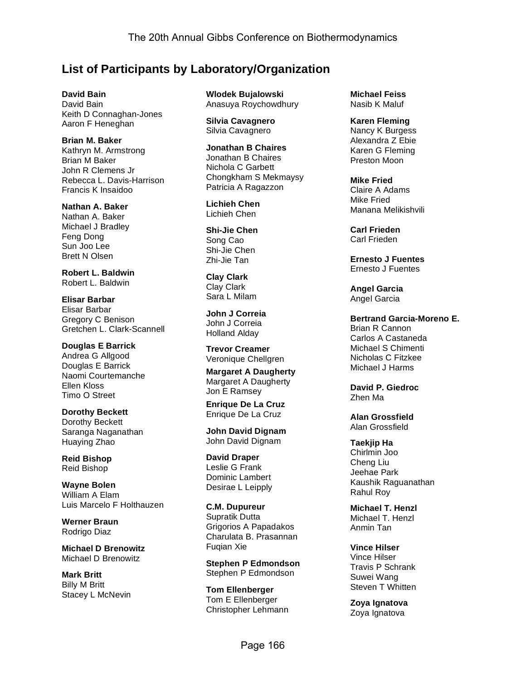# **List of Participants by Laboratory/Organization**

**David Bain** David Bain Keith D Connaghan-Jones Aaron F Heneghan

**Brian M. Baker** Kathryn M. Armstrong Brian M Baker John R Clemens Jr Rebecca L. Davis-Harrison Francis K Insaidoo

**Nathan A. Baker** Nathan A. Baker Michael J Bradley Feng Dong Sun Joo Lee Brett N Olsen

**Robert L. Baldwin** Robert L. Baldwin

**Elisar Barbar** Elisar Barbar Gregory C Benison Gretchen L. Clark-Scannell

**Douglas E Barrick** Andrea G Allgood Douglas E Barrick Naomi Courtemanche Ellen Kloss Timo O Street

**Dorothy Beckett** Dorothy Beckett Saranga Naganathan Huaying Zhao

**Reid Bishop** Reid Bishop

**Wayne Bolen** William A Elam Luis Marcelo F Holthauzen

**Werner Braun** Rodrigo Diaz

**Michael D Brenowitz** Michael D Brenowitz

**Mark Britt** Billy M Britt Stacey L McNevin **Wlodek Bujalowski** Anasuya Roychowdhury

**Silvia Cavagnero** Silvia Cavagnero

**Jonathan B Chaires** Jonathan B Chaires Nichola C Garbett Chongkham S Mekmaysy Patricia A Ragazzon

**Lichieh Chen** Lichieh Chen

**Shi-Jie Chen** Song Cao Shi-Jie Chen Zhi-Jie Tan

**Clay Clark** Clay Clark Sara L Milam

**John J Correia** John J Correia Holland Alday

**Trevor Creamer** Veronique Chellgren

**Margaret A Daugherty** Margaret A Daugherty Jon E Ramsey

**Enrique De La Cruz** Enrique De La Cruz

**John David Dignam** John David Dignam

**David Draper** Leslie G Frank Dominic Lambert Desirae L Leipply

**C.M. Dupureur** Supratik Dutta Grigorios A Papadakos Charulata B. Prasannan Fuqian Xie

**Stephen P Edmondson** Stephen P Edmondson

**Tom Ellenberger** Tom E Ellenberger Christopher Lehmann **Michael Feiss** Nasib K Maluf

**Karen Fleming** Nancy K Burgess Alexandra Z Ebie Karen G Fleming Preston Moon

**Mike Fried** Claire A Adams Mike Fried Manana Melikishvili

**Carl Frieden** Carl Frieden

**Ernesto J Fuentes** Ernesto J Fuentes

**Angel Garcia** Angel Garcia

**Bertrand Garcia-Moreno E.** Brian R Cannon Carlos A Castaneda Michael S Chimenti Nicholas C Fitzkee Michael J Harms

**David P. Giedroc** Zhen Ma

**Alan Grossfield** Alan Grossfield

**Taekjip Ha** Chirlmin Joo Cheng Liu Jeehae Park Kaushik Raguanathan Rahul Roy

**Michael T. Henzl** Michael T. Henzl Anmin Tan

**Vince Hilser** Vince Hilser Travis P Schrank Suwei Wang Steven T Whitten

**Zoya Ignatova** Zoya Ignatova